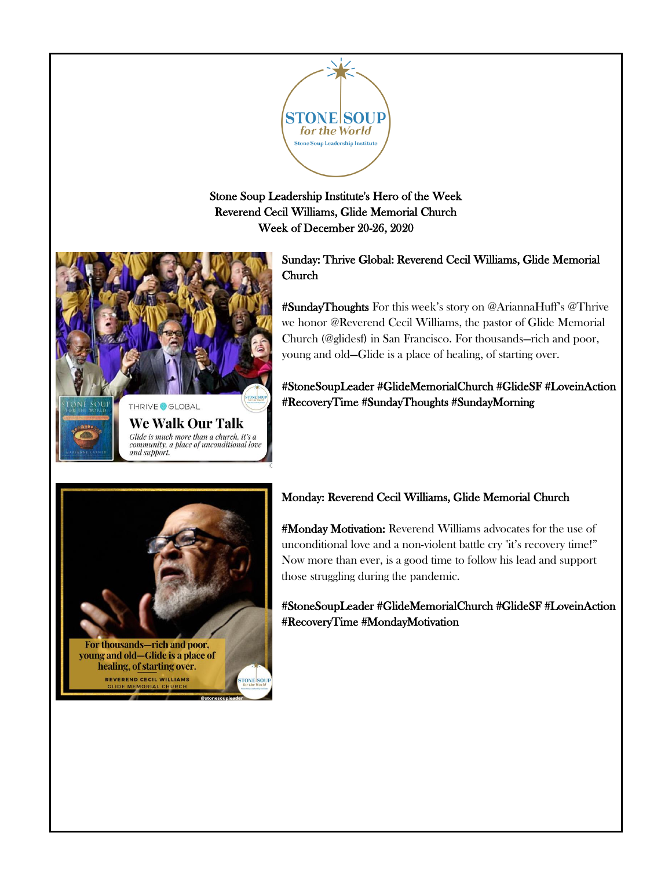

Stone Soup Leadership Institute's Hero of the Week Reverend Cecil Williams, Glide Memorial Church Week of December 20-26, 2020



and support.

Sunday: Thrive Global: Reverend Cecil Williams, Glide Memorial Church

#SundayThoughts For this week's story on @AriannaHuff's @Thrive we honor @Reverend Cecil Williams, the pastor of Glide Memorial Church (@glidesf) in San Francisco. For thousands—rich and poor, young and old—Glide is a place of healing, of starting over.

#StoneSoupLeader #GlideMemorialChurch #GlideSF #LoveinAction #RecoveryTime #SundayThoughts #SundayMorning



REVEREND CECIL WILLIAMS

# Monday: Reverend Cecil Williams, Glide Memorial Church

#Monday Motivation: Reverend Williams advocates for the use of unconditional love and a non-violent battle cry "it's recovery time!" Now more than ever, is a good time to follow his lead and support those struggling during the pandemic.

#StoneSoupLeader #GlideMemorialChurch #GlideSF #LoveinAction #RecoveryTime #MondayMotivation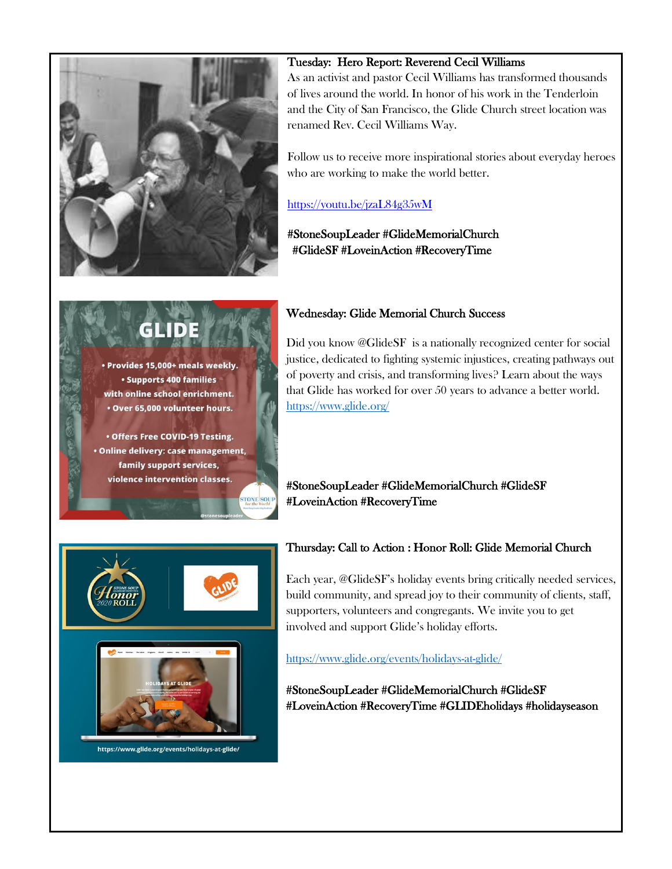

· Provides 15,000+ meals weekly. **• Supports 400 families** with online school enrichment. . Over 65,000 volunteer hours.

• Offers Free COVID-19 Testing. · Online delivery: case management, family support services, violence intervention classes.

### Tuesday: Hero Report: Reverend Cecil Williams

As an activist and pastor Cecil Williams has transformed thousands of lives around the world. In honor of his work in the Tenderloin and the City of San Francisco, the Glide Church street location was renamed Rev. Cecil Williams Way.

Follow us to receive more inspirational stories about everyday heroes who are working to make the world better.

### <https://youtu.be/jzaL84g35wM>

# #StoneSoupLeader #GlideMemorialChurch #GlideSF #LoveinAction #RecoveryTime

# Wednesday: Glide Memorial Church Success

Did you know @GlideSF is a nationally recognized center for social justice, dedicated to fighting systemic injustices, creating pathways out of poverty and crisis, and transforming lives? Learn about the ways that Glide has worked for over 50 years to advance a better world. <https://www.glide.org/>

# #StoneSoupLeader #GlideMemorialChurch #GlideSF #LoveinAction #RecoveryTime



# Thursday: Call to Action : Honor Roll: Glide Memorial Church

Each year, @GlideSF's holiday events bring critically needed services, build community, and spread joy to their community of clients, staff, supporters, volunteers and congregants. We invite you to get involved and support Glide's holiday efforts.

<https://www.glide.org/events/holidays-at-glide/>

#StoneSoupLeader #GlideMemorialChurch #GlideSF #LoveinAction #RecoveryTime #GLIDEholidays #holidayseason